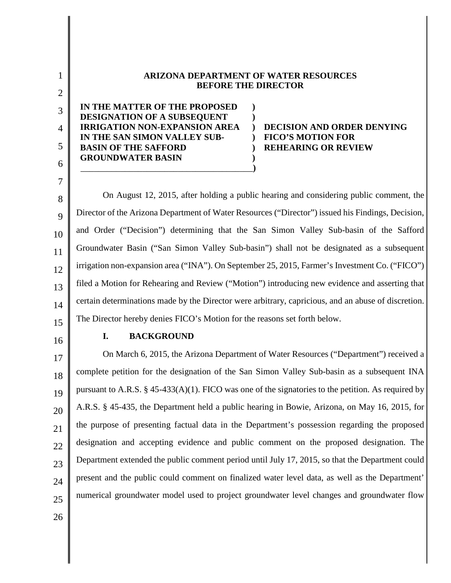| <b>ARIZONA DEPARTMENT OF WATER RESOURCES</b><br><b>BEFORE THE DIRECTOR</b>                                                                                                                      |                                                                                             |
|-------------------------------------------------------------------------------------------------------------------------------------------------------------------------------------------------|---------------------------------------------------------------------------------------------|
| IN THE MATTER OF THE PROPOSED<br>DESIGNATION OF A SUBSEQUENT<br><b>IRRIGATION NON-EXPANSION AREA</b><br>IN THE SAN SIMON VALLEY SUB-<br><b>BASIN OF THE SAFFORD</b><br><b>GROUNDWATER BASIN</b> | <b>DECISION AND ORDER DENYING</b><br><b>FICO'S MOTION FOR</b><br><b>REHEARING OR REVIEW</b> |

8  $\overline{Q}$ 10 11 12 13 14 15 On August 12, 2015, after holding a public hearing and considering public comment, the Director of the Arizona Department of Water Resources ("Director") issued his Findings, Decision, and Order ("Decision") determining that the San Simon Valley Sub-basin of the Safford Groundwater Basin ("San Simon Valley Sub-basin") shall not be designated as a subsequent irrigation non-expansion area ("INA"). On September 25, 2015, Farmer's Investment Co. ("FICO") filed a Motion for Rehearing and Review ("Motion") introducing new evidence and asserting that certain determinations made by the Director were arbitrary, capricious, and an abuse of discretion. The Director hereby denies FICO's Motion for the reasons set forth below.

16

## **I. BACKGROUND**

17 18 19 20 21 22 23 24 25 On March 6, 2015, the Arizona Department of Water Resources ("Department") received a complete petition for the designation of the San Simon Valley Sub-basin as a subsequent INA pursuant to A.R.S.  $\S$  45-433(A)(1). FICO was one of the signatories to the petition. As required by A.R.S. § 45-435, the Department held a public hearing in Bowie, Arizona, on May 16, 2015, for the purpose of presenting factual data in the Department's possession regarding the proposed designation and accepting evidence and public comment on the proposed designation. The Department extended the public comment period until July 17, 2015, so that the Department could present and the public could comment on finalized water level data, as well as the Department' numerical groundwater model used to project groundwater level changes and groundwater flow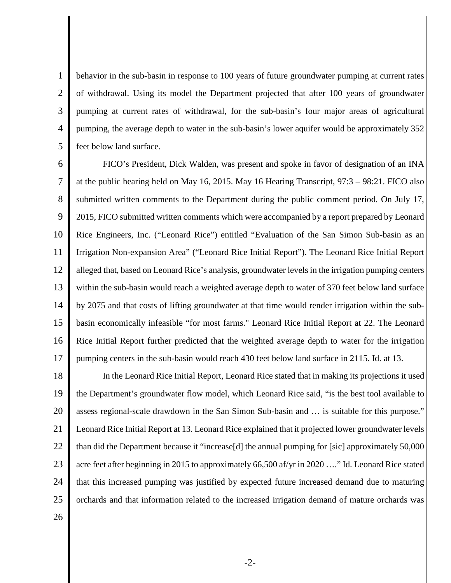1 2 3 4 5 behavior in the sub-basin in response to 100 years of future groundwater pumping at current rates of withdrawal. Using its model the Department projected that after 100 years of groundwater pumping at current rates of withdrawal, for the sub-basin's four major areas of agricultural pumping, the average depth to water in the sub-basin's lower aquifer would be approximately 352 feet below land surface.

6 7 8 9 10 11 12 13 14 15 16 17 FICO's President, Dick Walden, was present and spoke in favor of designation of an INA at the public hearing held on May 16, 2015. May 16 Hearing Transcript, 97:3 – 98:21. FICO also submitted written comments to the Department during the public comment period. On July 17, 2015, FICO submitted written comments which were accompanied by a report prepared by Leonard Rice Engineers, Inc. ("Leonard Rice") entitled "Evaluation of the San Simon Sub-basin as an Irrigation Non-expansion Area" ("Leonard Rice Initial Report"). The Leonard Rice Initial Report alleged that, based on Leonard Rice's analysis, groundwater levels in the irrigation pumping centers within the sub-basin would reach a weighted average depth to water of 370 feet below land surface by 2075 and that costs of lifting groundwater at that time would render irrigation within the subbasin economically infeasible "for most farms." Leonard Rice Initial Report at 22. The Leonard Rice Initial Report further predicted that the weighted average depth to water for the irrigation pumping centers in the sub-basin would reach 430 feet below land surface in 2115. Id. at 13.

18 19 20 21 22 23 24 25 In the Leonard Rice Initial Report, Leonard Rice stated that in making its projections it used the Department's groundwater flow model, which Leonard Rice said, "is the best tool available to assess regional-scale drawdown in the San Simon Sub-basin and … is suitable for this purpose." Leonard Rice Initial Report at 13. Leonard Rice explained that it projected lower groundwater levels than did the Department because it "increase[d] the annual pumping for [sic] approximately 50,000 acre feet after beginning in 2015 to approximately 66,500 af/yr in 2020 …." Id. Leonard Rice stated that this increased pumping was justified by expected future increased demand due to maturing orchards and that information related to the increased irrigation demand of mature orchards was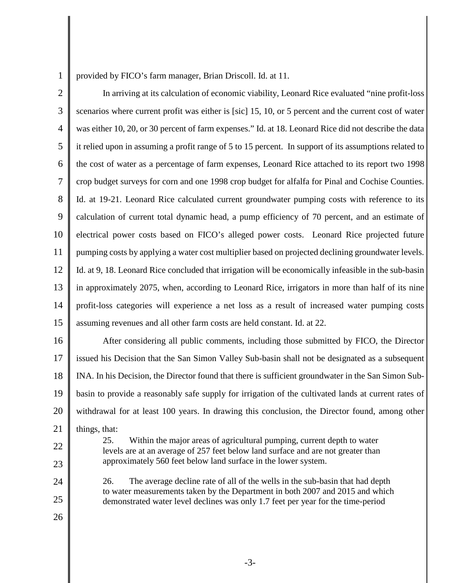provided by FICO's farm manager, Brian Driscoll. Id. at 11.

2 3 4 5 6 7 8 9 10 11 12 13 14 15 In arriving at its calculation of economic viability, Leonard Rice evaluated "nine profit-loss scenarios where current profit was either is [sic] 15, 10, or 5 percent and the current cost of water was either 10, 20, or 30 percent of farm expenses." Id. at 18. Leonard Rice did not describe the data it relied upon in assuming a profit range of 5 to 15 percent. In support of its assumptions related to the cost of water as a percentage of farm expenses, Leonard Rice attached to its report two 1998 crop budget surveys for corn and one 1998 crop budget for alfalfa for Pinal and Cochise Counties. Id. at 19-21. Leonard Rice calculated current groundwater pumping costs with reference to its calculation of current total dynamic head, a pump efficiency of 70 percent, and an estimate of electrical power costs based on FICO's alleged power costs. Leonard Rice projected future pumping costs by applying a water cost multiplier based on projected declining groundwater levels. Id. at 9, 18. Leonard Rice concluded that irrigation will be economically infeasible in the sub-basin in approximately 2075, when, according to Leonard Rice, irrigators in more than half of its nine profit-loss categories will experience a net loss as a result of increased water pumping costs assuming revenues and all other farm costs are held constant. Id. at 22.

16 17 18 19 20 21 After considering all public comments, including those submitted by FICO, the Director issued his Decision that the San Simon Valley Sub-basin shall not be designated as a subsequent INA. In his Decision, the Director found that there is sufficient groundwater in the San Simon Subbasin to provide a reasonably safe supply for irrigation of the cultivated lands at current rates of withdrawal for at least 100 years. In drawing this conclusion, the Director found, among other things, that:

> 25. Within the major areas of agricultural pumping, current depth to water levels are at an average of 257 feet below land surface and are not greater than

approximately 560 feet below land surface in the lower system.

22

23

24 25 26. The average decline rate of all of the wells in the sub-basin that had depth to water measurements taken by the Department in both 2007 and 2015 and which demonstrated water level declines was only 1.7 feet per year for the time-period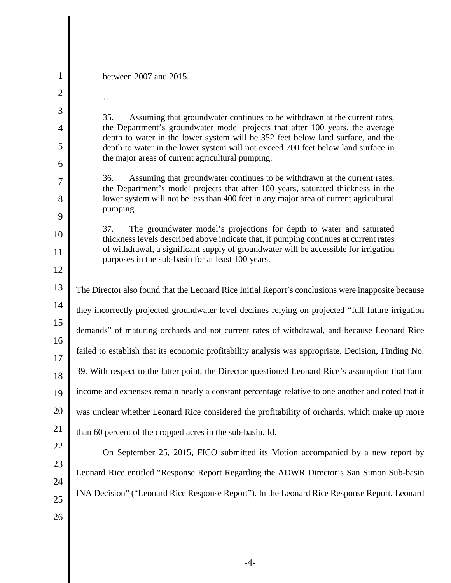| $\mathbf 1$    | between 2007 and 2015.                                                                                                                                               |  |
|----------------|----------------------------------------------------------------------------------------------------------------------------------------------------------------------|--|
| $\overline{2}$ | .                                                                                                                                                                    |  |
| 3              | 35.<br>Assuming that groundwater continues to be withdrawn at the current rates,                                                                                     |  |
| 4              | the Department's groundwater model projects that after 100 years, the average<br>depth to water in the lower system will be 352 feet below land surface, and the     |  |
| 5              | depth to water in the lower system will not exceed 700 feet below land surface in                                                                                    |  |
| 6              | the major areas of current agricultural pumping.                                                                                                                     |  |
| $\overline{7}$ | Assuming that groundwater continues to be withdrawn at the current rates,<br>36.<br>the Department's model projects that after 100 years, saturated thickness in the |  |
| 8              | lower system will not be less than 400 feet in any major area of current agricultural<br>pumping.                                                                    |  |
| 9              |                                                                                                                                                                      |  |
| 10             | 37.<br>The groundwater model's projections for depth to water and saturated<br>thickness levels described above indicate that, if pumping continues at current rates |  |
| 11             | of withdrawal, a significant supply of groundwater will be accessible for irrigation<br>purposes in the sub-basin for at least 100 years.                            |  |
| 12             |                                                                                                                                                                      |  |
| 13             | The Director also found that the Leonard Rice Initial Report's conclusions were inapposite because                                                                   |  |
| 14             | they incorrectly projected groundwater level declines relying on projected "full future irrigation                                                                   |  |
| 15             | demands" of maturing orchards and not current rates of withdrawal, and because Leonard Rice                                                                          |  |
| 16<br>17       | failed to establish that its economic profitability analysis was appropriate. Decision, Finding No.                                                                  |  |
| 18             | 39. With respect to the latter point, the Director questioned Leonard Rice's assumption that farm                                                                    |  |
| 19             | income and expenses remain nearly a constant percentage relative to one another and noted that it                                                                    |  |
| 20             | was unclear whether Leonard Rice considered the profitability of orchards, which make up more                                                                        |  |
| 21             | than 60 percent of the cropped acres in the sub-basin. Id.                                                                                                           |  |
| 22             | On September 25, 2015, FICO submitted its Motion accompanied by a new report by                                                                                      |  |
| 23             |                                                                                                                                                                      |  |
| 24             | Leonard Rice entitled "Response Report Regarding the ADWR Director's San Simon Sub-basin                                                                             |  |
| 25             | INA Decision" ("Leonard Rice Response Report"). In the Leonard Rice Response Report, Leonard                                                                         |  |
| 26             |                                                                                                                                                                      |  |
|                |                                                                                                                                                                      |  |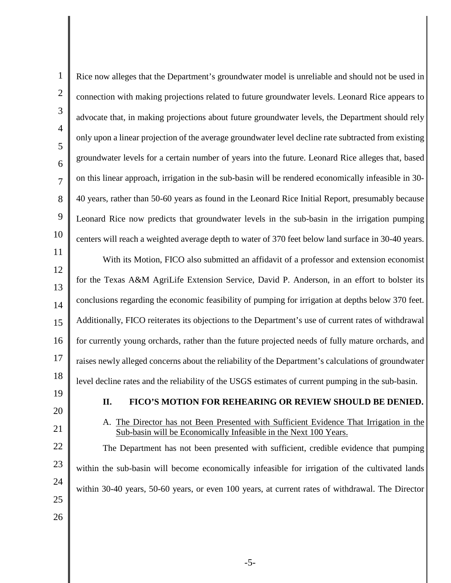| $\mathbf{1}$        | Rice now alleges that the Department's groundwater model is unreliable and should not be used in                                                          |
|---------------------|-----------------------------------------------------------------------------------------------------------------------------------------------------------|
| $\overline{2}$      | connection with making projections related to future groundwater levels. Leonard Rice appears to                                                          |
| 3                   | advocate that, in making projections about future groundwater levels, the Department should rely                                                          |
| $\overline{4}$<br>5 | only upon a linear projection of the average groundwater level decline rate subtracted from existing                                                      |
| 6                   | groundwater levels for a certain number of years into the future. Leonard Rice alleges that, based                                                        |
| $\overline{7}$      | on this linear approach, irrigation in the sub-basin will be rendered economically infeasible in 30-                                                      |
| 8                   | 40 years, rather than 50-60 years as found in the Leonard Rice Initial Report, presumably because                                                         |
| 9                   | Leonard Rice now predicts that groundwater levels in the sub-basin in the irrigation pumping                                                              |
| 10                  | centers will reach a weighted average depth to water of 370 feet below land surface in 30-40 years.                                                       |
| 11                  | With its Motion, FICO also submitted an affidavit of a professor and extension economist                                                                  |
| 12<br>13            | for the Texas A&M AgriLife Extension Service, David P. Anderson, in an effort to bolster its                                                              |
| 14                  | conclusions regarding the economic feasibility of pumping for irrigation at depths below 370 feet.                                                        |
| 15                  | Additionally, FICO reiterates its objections to the Department's use of current rates of withdrawal                                                       |
| 16                  | for currently young orchards, rather than the future projected needs of fully mature orchards, and                                                        |
| 17                  | raises newly alleged concerns about the reliability of the Department's calculations of groundwater                                                       |
| 18                  | level decline rates and the reliability of the USGS estimates of current pumping in the sub-basin.                                                        |
| 19                  | Π.<br><b>FICO'S MOTION FOR REHEARING OR REVIEW SHOULD BE DENIED.</b>                                                                                      |
| 20<br>21            | The Director has not Been Presented with Sufficient Evidence That Irrigation in the<br>A.                                                                 |
| 22                  | Sub-basin will be Economically Infeasible in the Next 100 Years.<br>The Department has not been presented with sufficient, credible evidence that pumping |
| 23                  | within the sub-basin will become economically infeasible for irrigation of the cultivated lands                                                           |
| 24                  | within 30-40 years, 50-60 years, or even 100 years, at current rates of withdrawal. The Director                                                          |
| 25                  |                                                                                                                                                           |
| 26                  |                                                                                                                                                           |
|                     |                                                                                                                                                           |

-5-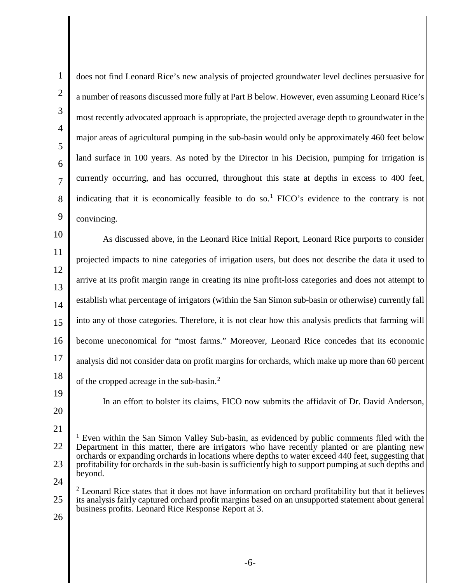1 2 3 4 5 6 7 8 9 10 11 12 13 14 15 16 17 18 19 20 21 22 23 24 25 26 does not find Leonard Rice's new analysis of projected groundwater level declines persuasive for a number of reasons discussed more fully at Part B below. However, even assuming Leonard Rice's most recently advocated approach is appropriate, the projected average depth to groundwater in the major areas of agricultural pumping in the sub-basin would only be approximately 460 feet below land surface in 100 years. As noted by the Director in his Decision, pumping for irrigation is currently occurring, and has occurred, throughout this state at depths in excess to 400 feet, indicating that it is economically feasible to do so.<sup>[1](#page-5-0)</sup> FICO's evidence to the contrary is not convincing. As discussed above, in the Leonard Rice Initial Report, Leonard Rice purports to consider projected impacts to nine categories of irrigation users, but does not describe the data it used to arrive at its profit margin range in creating its nine profit-loss categories and does not attempt to establish what percentage of irrigators (within the San Simon sub-basin or otherwise) currently fall into any of those categories. Therefore, it is not clear how this analysis predicts that farming will become uneconomical for "most farms." Moreover, Leonard Rice concedes that its economic analysis did not consider data on profit margins for orchards, which make up more than 60 percent of the cropped acreage in the sub-basin.[2](#page-5-1) In an effort to bolster its claims, FICO now submits the affidavit of Dr. David Anderson, <sup>1</sup> Even within the San Simon Valley Sub-basin, as evidenced by public comments filed with the Department in this matter, there are irrigators who have recently planted or are planting new orchards or expanding orchards in locations where depths to water exceed 440 feet, suggesting that profitability for orchards in the sub-basin is sufficiently high to support pumping at such depths and beyond.  $2$  Leonard Rice states that it does not have information on orchard profitability but that it believes its analysis fairly captured orchard profit margins based on an unsupported statement about general business profits. Leonard Rice Response Report at 3.

<span id="page-5-1"></span><span id="page-5-0"></span>-6-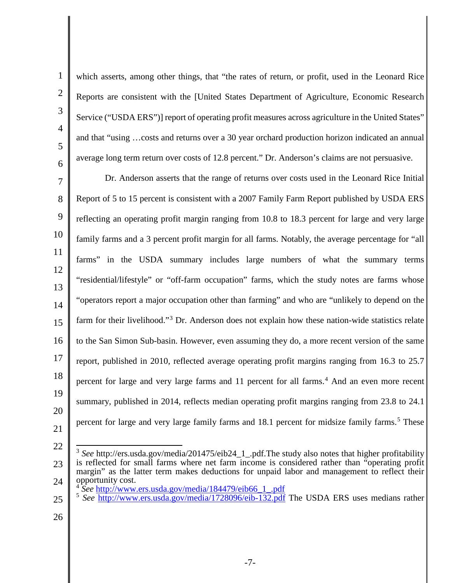which asserts, among other things, that "the rates of return, or profit, used in the Leonard Rice Reports are consistent with the [United States Department of Agriculture, Economic Research Service ("USDA ERS")] report of operating profit measures across agriculture in the United States" and that "using …costs and returns over a 30 year orchard production horizon indicated an annual average long term return over costs of 12.8 percent." Dr. Anderson's claims are not persuasive.

7 8 9 13 14 15 16 17 18 19 20 21 Dr. Anderson asserts that the range of returns over costs used in the Leonard Rice Initial Report of 5 to 15 percent is consistent with a 2007 Family Farm Report published by USDA ERS reflecting an operating profit margin ranging from 10.8 to 18.3 percent for large and very large family farms and a 3 percent profit margin for all farms. Notably, the average percentage for "all farms" in the USDA summary includes large numbers of what the summary terms "residential/lifestyle" or "off-farm occupation" farms, which the study notes are farms whose "operators report a major occupation other than farming" and who are "unlikely to depend on the farm for their livelihood."<sup>[3](#page-6-0)</sup> Dr. Anderson does not explain how these nation-wide statistics relate to the San Simon Sub-basin. However, even assuming they do, a more recent version of the same report, published in 2010, reflected average operating profit margins ranging from 16.3 to 25.7 percent for large and very large farms and 11 percent for all farms.<sup>[4](#page-6-1)</sup> And an even more recent summary, published in 2014, reflects median operating profit margins ranging from 23.8 to 24.1 percent for large and very large family farms and 18.1 percent for midsize family farms.[5](#page-6-2) These

22

<span id="page-6-0"></span><sup>23</sup> 24 <sup>3</sup> See http://ers.usda.gov/media/201475/eib24\_1\_.pdf.The study also notes that higher profitability is reflected for small farms where net farm income is considered rather than "operating profit margin" as the latter term makes deductions for unpaid labor and management to reflect their opportunity cost.<br><sup>4</sup> See http://www.ers.usda.gov/media/184479/eib66\_1\_.pdf

<span id="page-6-2"></span><span id="page-6-1"></span><sup>25</sup> <sup>5</sup> See <http://www.ers.usda.gov/media/1728096/eib-132.pdf> The USDA ERS uses medians rather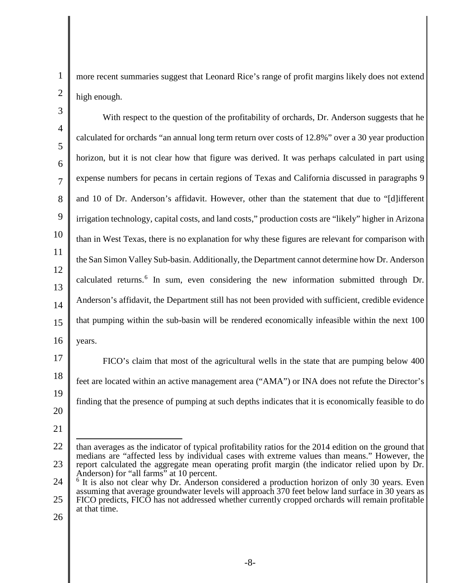1

more recent summaries suggest that Leonard Rice's range of profit margins likely does not extend high enough.

4 5 6 7 8 9 10 11 12 13 14 15 16 With respect to the question of the profitability of orchards, Dr. Anderson suggests that he calculated for orchards "an annual long term return over costs of 12.8%" over a 30 year production horizon, but it is not clear how that figure was derived. It was perhaps calculated in part using expense numbers for pecans in certain regions of Texas and California discussed in paragraphs 9 and 10 of Dr. Anderson's affidavit. However, other than the statement that due to "[d]ifferent irrigation technology, capital costs, and land costs," production costs are "likely" higher in Arizona than in West Texas, there is no explanation for why these figures are relevant for comparison with the San Simon Valley Sub-basin. Additionally, the Department cannot determine how Dr. Anderson calculated returns.<sup>[6](#page-7-0)</sup> In sum, even considering the new information submitted through Dr. Anderson's affidavit, the Department still has not been provided with sufficient, credible evidence that pumping within the sub-basin will be rendered economically infeasible within the next 100 years.

17 18 19 FICO's claim that most of the agricultural wells in the state that are pumping below 400 feet are located within an active management area ("AMA") or INA does not refute the Director's finding that the presence of pumping at such depths indicates that it is economically feasible to do

20 21

<span id="page-7-0"></span>24 25 <sup>6</sup> It is also not clear why Dr. Anderson considered a production horizon of only 30 years. Even assuming that average groundwater levels will approach 370 feet below land surface in 30 years as FICO predicts, FICO has not addressed whether currently cropped orchards will remain profitable at that time.

<sup>22</sup> 23 than averages as the indicator of typical profitability ratios for the 2014 edition on the ground that medians are "affected less by individual cases with extreme values than means." However, the report calculated the aggregate mean operating profit margin (the indicator relied upon by Dr. Anderson) for "all farms" at 10 percent.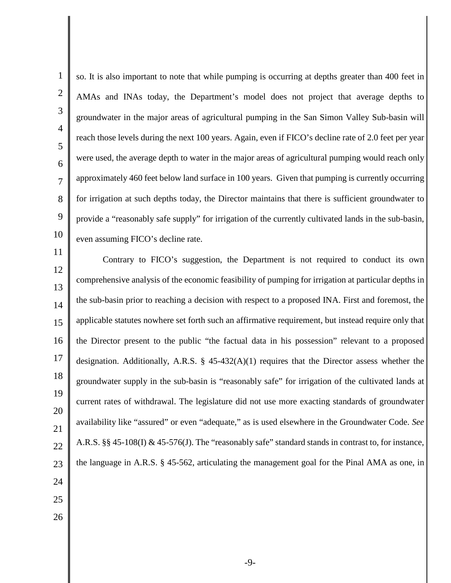1

so. It is also important to note that while pumping is occurring at depths greater than 400 feet in AMAs and INAs today, the Department's model does not project that average depths to groundwater in the major areas of agricultural pumping in the San Simon Valley Sub-basin will reach those levels during the next 100 years. Again, even if FICO's decline rate of 2.0 feet per year were used, the average depth to water in the major areas of agricultural pumping would reach only approximately 460 feet below land surface in 100 years. Given that pumping is currently occurring for irrigation at such depths today, the Director maintains that there is sufficient groundwater to provide a "reasonably safe supply" for irrigation of the currently cultivated lands in the sub-basin, even assuming FICO's decline rate.

Contrary to FICO's suggestion, the Department is not required to conduct its own comprehensive analysis of the economic feasibility of pumping for irrigation at particular depths in the sub-basin prior to reaching a decision with respect to a proposed INA. First and foremost, the applicable statutes nowhere set forth such an affirmative requirement, but instead require only that the Director present to the public "the factual data in his possession" relevant to a proposed designation. Additionally, A.R.S. § 45-432(A)(1) requires that the Director assess whether the groundwater supply in the sub-basin is "reasonably safe" for irrigation of the cultivated lands at current rates of withdrawal. The legislature did not use more exacting standards of groundwater availability like "assured" or even "adequate," as is used elsewhere in the Groundwater Code. *See* A.R.S. §§ 45-108(I) & 45-576(J). The "reasonably safe" standard stands in contrast to, for instance, the language in A.R.S. § 45-562, articulating the management goal for the Pinal AMA as one, in

- 
- 
- 26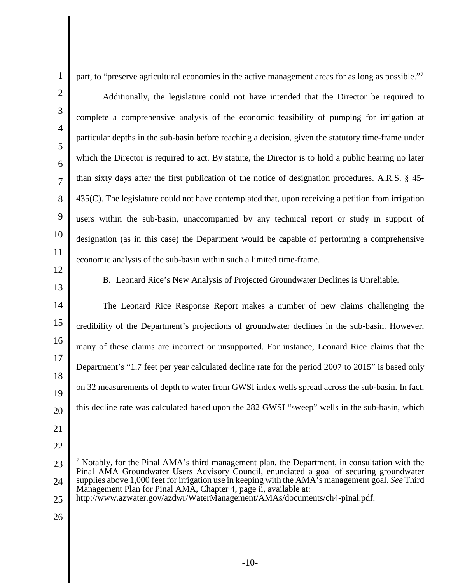part, to "preserve agricultural economies in the active management areas for as long as possible."<sup>[7](#page-9-0)</sup>

Additionally, the legislature could not have intended that the Director be required to complete a comprehensive analysis of the economic feasibility of pumping for irrigation at particular depths in the sub-basin before reaching a decision, given the statutory time-frame under which the Director is required to act. By statute, the Director is to hold a public hearing no later than sixty days after the first publication of the notice of designation procedures. A.R.S. § 45- 435(C). The legislature could not have contemplated that, upon receiving a petition from irrigation users within the sub-basin, unaccompanied by any technical report or study in support of designation (as in this case) the Department would be capable of performing a comprehensive economic analysis of the sub-basin within such a limited time-frame.

B. Leonard Rice's New Analysis of Projected Groundwater Declines is Unreliable.

The Leonard Rice Response Report makes a number of new claims challenging the credibility of the Department's projections of groundwater declines in the sub-basin. However, many of these claims are incorrect or unsupported. For instance, Leonard Rice claims that the Department's "1.7 feet per year calculated decline rate for the period 2007 to 2015" is based only on 32 measurements of depth to water from GWSI index wells spread across the sub-basin. In fact, this decline rate was calculated based upon the 282 GWSI "sweep" wells in the sub-basin, which

<span id="page-9-0"></span><sup>23</sup> 24  $<sup>7</sup>$  Notably, for the Pinal AMA's third management plan, the Department, in consultation with the</sup> Pinal AMA Groundwater Users Advisory Council, enunciated a goal of securing groundwater supplies above 1,000 feet for irrigation use in keeping with the AMA's management goal. *See* Third Management Plan for Pinal AMA, Chapter 4, page ii, available at:

<sup>25</sup> http://www.azwater.gov/azdwr/WaterManagement/AMAs/documents/ch4-pinal.pdf.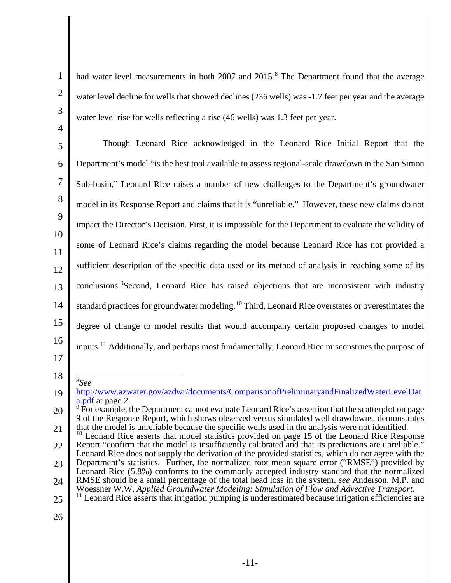- 1 2 3 4 5 6 7 8 9 10 11 12 13 14 15 16 17 18 19 20 21 22 had water level measurements in both 2007 and 2015.<sup>[8](#page-10-0)</sup> The Department found that the average water level decline for wells that showed declines (236 wells) was -1.7 feet per year and the average water level rise for wells reflecting a rise (46 wells) was 1.3 feet per year. Though Leonard Rice acknowledged in the Leonard Rice Initial Report that the Department's model "is the best tool available to assess regional-scale drawdown in the San Simon Sub-basin," Leonard Rice raises a number of new challenges to the Department's groundwater model in its Response Report and claims that it is "unreliable." However, these new claims do not impact the Director's Decision. First, it is impossible for the Department to evaluate the validity of some of Leonard Rice's claims regarding the model because Leonard Rice has not provided a sufficient description of the specific data used or its method of analysis in reaching some of its conclusions. <sup>[9](#page-10-1)</sup> Second, Leonard Rice has raised objections that are inconsistent with industry standard practices for groundwater modeling.<sup>[10](#page-10-2)</sup> Third, Leonard Rice overstates or overestimates the degree of change to model results that would accompany certain proposed changes to model inputs.<sup>[11](#page-10-3)</sup> Additionally, and perhaps most fundamentally, Leonard Rice misconstrues the purpose of 8 *See* [http://www.azwater.gov/azdwr/documents/ComparisonofPreliminaryandFinalizedWaterLevelDat](http://www.azwater.gov/azdwr/documents/ComparisonofPreliminaryandFinalizedWaterLevelData.pdf)  $\frac{a.pdf}{b}$  For example, the Department cannot evaluate Leonard Rice's assertion that the scatterplot on page 9 of the Response Report, which shows observed versus simulated well drawdowns, demonstrates that the model is unreliable because the specific wells used in the analysis were not identified.  $10$  Leonard Rice asserts that model statistics provided on page 15 of the Leonard Rice Response Report "confirm that the model is insufficiently calibrated and that its predictions are unreliable." Leonard Rice does not supply the derivation of the provided statistics, which do not agree with the
- <span id="page-10-2"></span><span id="page-10-1"></span><span id="page-10-0"></span>23 24 Department's statistics. Further, the normalized root mean square error ("RMSE") provided by Leonard Rice (5.8%) conforms to the commonly accepted industry standard that the normalized
- 25 RMSE should be a small percentage of the total head loss in the system, *see* Anderson, M.P. and <sup>11</sup> Leonard Rice asserts that irrigation pumping is underestimated because irrigation efficiencies are
- <span id="page-10-3"></span>26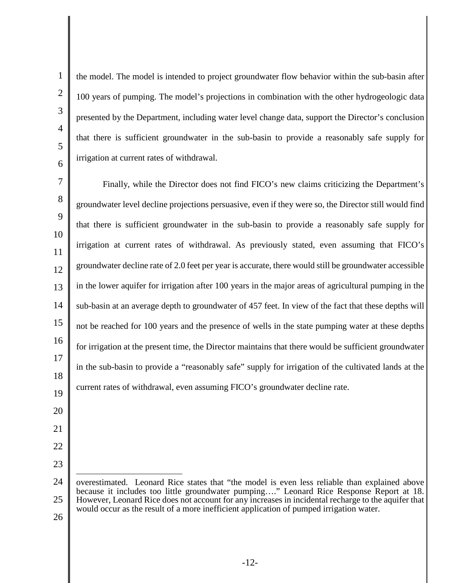1

the model. The model is intended to project groundwater flow behavior within the sub-basin after 100 years of pumping. The model's projections in combination with the other hydrogeologic data presented by the Department, including water level change data, support the Director's conclusion that there is sufficient groundwater in the sub-basin to provide a reasonably safe supply for irrigation at current rates of withdrawal.

Finally, while the Director does not find FICO's new claims criticizing the Department's groundwater level decline projections persuasive, even if they were so, the Director still would find that there is sufficient groundwater in the sub-basin to provide a reasonably safe supply for irrigation at current rates of withdrawal. As previously stated, even assuming that FICO's groundwater decline rate of 2.0 feet per year is accurate, there would still be groundwater accessible in the lower aquifer for irrigation after 100 years in the major areas of agricultural pumping in the sub-basin at an average depth to groundwater of 457 feet. In view of the fact that these depths will not be reached for 100 years and the presence of wells in the state pumping water at these depths for irrigation at the present time, the Director maintains that there would be sufficient groundwater in the sub-basin to provide a "reasonably safe" supply for irrigation of the cultivated lands at the current rates of withdrawal, even assuming FICO's groundwater decline rate.

<sup>25</sup> overestimated. Leonard Rice states that "the model is even less reliable than explained above because it includes too little groundwater pumping…." Leonard Rice Response Report at 18. However, Leonard Rice does not account for any increases in incidental recharge to the aquifer that would occur as the result of a more inefficient application of pumped irrigation water.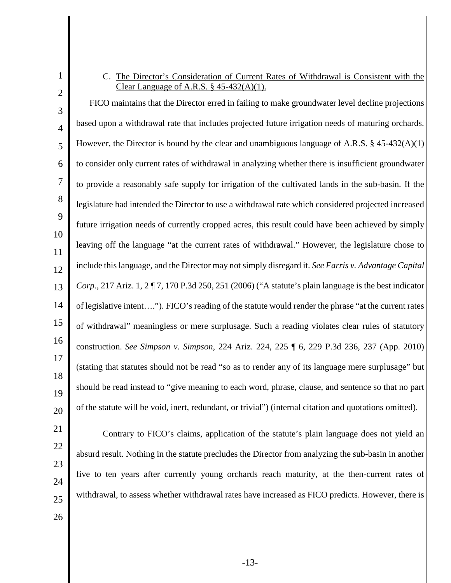## C. The Director's Consideration of Current Rates of Withdrawal is Consistent with the Clear Language of A.R.S. § 45-432(A)(1).

3 4 5 6 7 8  $\mathbf Q$ 10 11 12 13 14 15 16 17 18 19 20 FICO maintains that the Director erred in failing to make groundwater level decline projections based upon a withdrawal rate that includes projected future irrigation needs of maturing orchards. However, the Director is bound by the clear and unambiguous language of A.R.S.  $\S$  45-432(A)(1) to consider only current rates of withdrawal in analyzing whether there is insufficient groundwater to provide a reasonably safe supply for irrigation of the cultivated lands in the sub-basin. If the legislature had intended the Director to use a withdrawal rate which considered projected increased future irrigation needs of currently cropped acres, this result could have been achieved by simply leaving off the language "at the current rates of withdrawal." However, the legislature chose to include this language, and the Director may not simply disregard it. *See Farris v. Advantage Capital Corp.*, 217 Ariz. 1, 2 ¶ 7, 170 P.3d 250, 251 (2006) ("A statute's plain language is the best indicator of legislative intent…."). FICO's reading of the statute would render the phrase "at the current rates of withdrawal" meaningless or mere surplusage. Such a reading violates clear rules of statutory construction. *See Simpson v. Simpson*, 224 Ariz. 224, 225 ¶ 6, 229 P.3d 236, 237 (App. 2010) (stating that statutes should not be read "so as to render any of its language mere surplusage" but should be read instead to "give meaning to each word, phrase, clause, and sentence so that no part of the statute will be void, inert, redundant, or trivial") (internal citation and quotations omitted).

- 21 22
- 23

24

Contrary to FICO's claims, application of the statute's plain language does not yield an absurd result. Nothing in the statute precludes the Director from analyzing the sub-basin in another five to ten years after currently young orchards reach maturity, at the then-current rates of withdrawal, to assess whether withdrawal rates have increased as FICO predicts. However, there is

26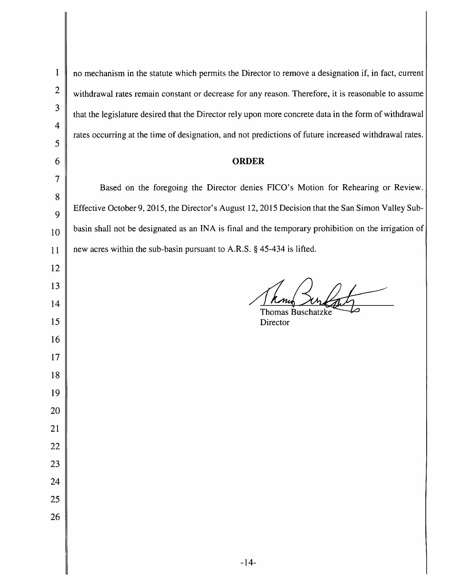$\mathbf{1}$ 

no mechanism in the statute which permits the Director to remove a designation if, in fact, current withdrawal rates remain constant or decrease for any reason. Therefore, it is reasonable to assume that the legislature desired that the Director rely upon more concrete data in the form of withdrawal rates occurring at the time of designation, and not predictions of future increased withdrawal rates.

## **ORDER**

Based on the foregoing the Director denies FICO's Motion for Rehearing or Review. Effective October 9, 2015, the Director's August 12, 2015 Decision that the San Simon Valley Subbasin shall not be designated as an INA is final and the temporary prohibition on the irrigation of new acres within the sub-basin pursuant to A.R.S. § 45-434 is lifted.

**Thomas Buschatzke** Director